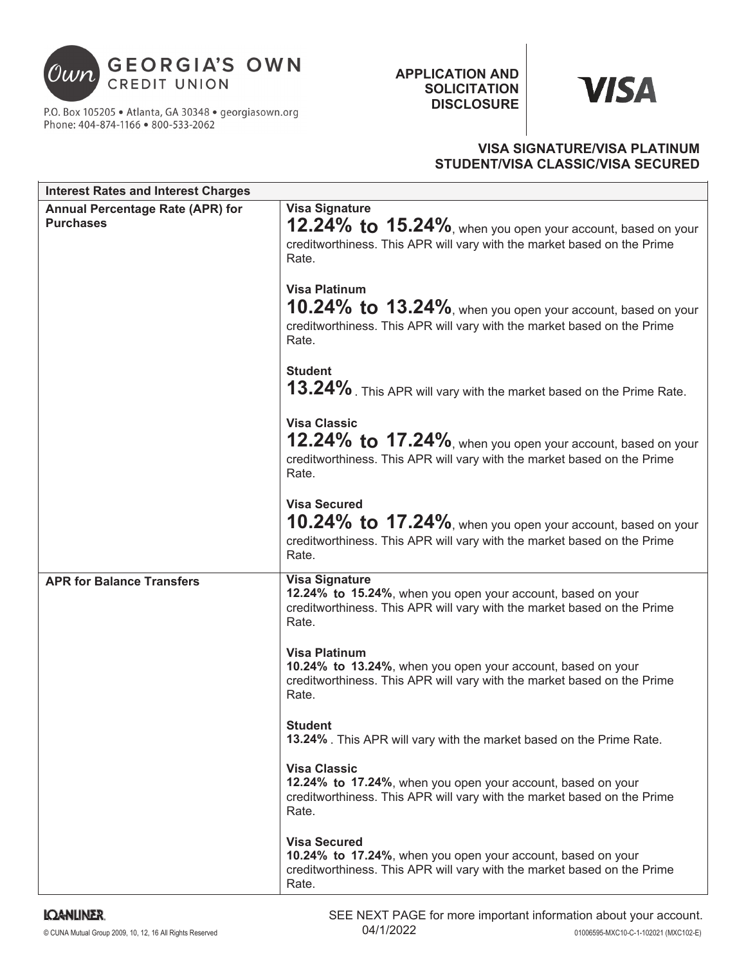

P.O. Box 105205 · Atlanta, GA 30348 · georgiasown.org Phone: 404-874-1166 . 800-533-2062

**APPLICATION AND SOLICITATION DISCLOSURE**

# **VISA**

## **VISA SIGNATURE/VISA PLATINUM STUDENT/VISA CLASSIC/VISA SECURED**

| <b>Interest Rates and Interest Charges</b>                  |                                                                                                                                                                          |  |
|-------------------------------------------------------------|--------------------------------------------------------------------------------------------------------------------------------------------------------------------------|--|
| <b>Annual Percentage Rate (APR) for</b><br><b>Purchases</b> | <b>Visa Signature</b><br>12.24% to 15.24%, when you open your account, based on your<br>creditworthiness. This APR will vary with the market based on the Prime<br>Rate. |  |
|                                                             | <b>Visa Platinum</b><br>10.24% to 13.24%, when you open your account, based on your<br>creditworthiness. This APR will vary with the market based on the Prime<br>Rate.  |  |
|                                                             | <b>Student</b><br>13.24% . This APR will vary with the market based on the Prime Rate.                                                                                   |  |
|                                                             | <b>Visa Classic</b><br>12.24% to 17.24%, when you open your account, based on your<br>creditworthiness. This APR will vary with the market based on the Prime<br>Rate.   |  |
|                                                             | <b>Visa Secured</b><br>10.24% to 17.24%, when you open your account, based on your<br>creditworthiness. This APR will vary with the market based on the Prime<br>Rate.   |  |
| <b>APR for Balance Transfers</b>                            | <b>Visa Signature</b><br>12.24% to 15.24%, when you open your account, based on your<br>creditworthiness. This APR will vary with the market based on the Prime<br>Rate. |  |
|                                                             | <b>Visa Platinum</b><br>10.24% to 13.24%, when you open your account, based on your<br>creditworthiness. This APR will vary with the market based on the Prime<br>Rate.  |  |
|                                                             | <b>Student</b><br>13.24%. This APR will vary with the market based on the Prime Rate.                                                                                    |  |
|                                                             | <b>Visa Classic</b><br>12.24% to 17.24%, when you open your account, based on your<br>creditworthiness. This APR will vary with the market based on the Prime<br>Rate.   |  |
|                                                             | <b>Visa Secured</b><br>10.24% to 17.24%, when you open your account, based on your<br>creditworthiness. This APR will vary with the market based on the Prime<br>Rate.   |  |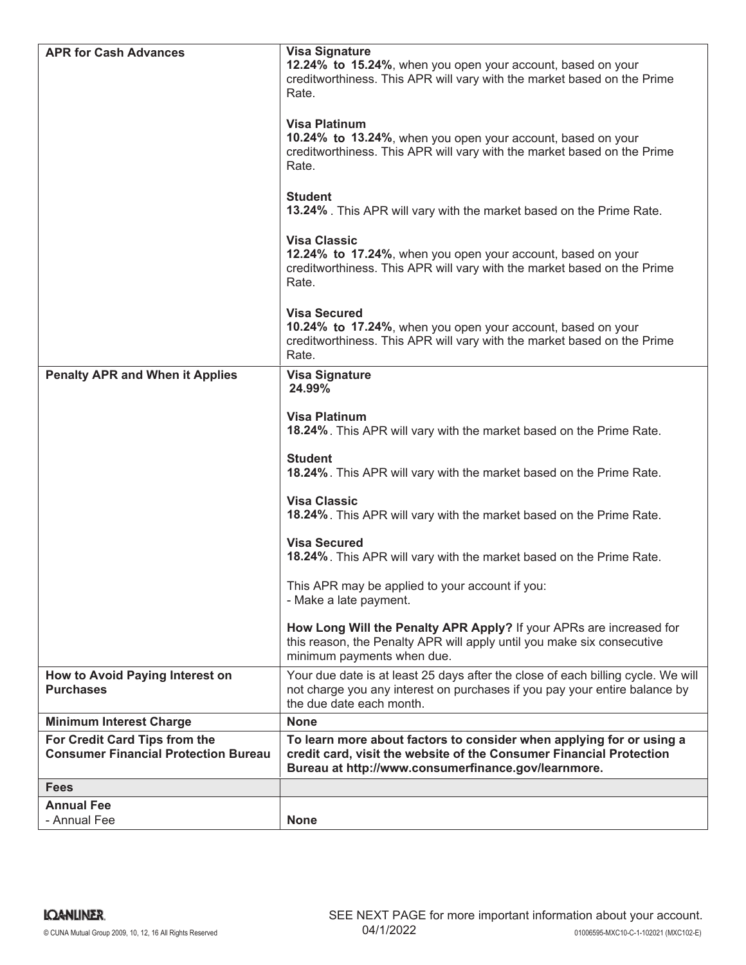| <b>APR for Cash Advances</b>                                                 | <b>Visa Signature</b><br>12.24% to 15.24%, when you open your account, based on your<br>creditworthiness. This APR will vary with the market based on the Prime<br>Rate.                           |
|------------------------------------------------------------------------------|----------------------------------------------------------------------------------------------------------------------------------------------------------------------------------------------------|
|                                                                              | <b>Visa Platinum</b><br>10.24% to 13.24%, when you open your account, based on your<br>creditworthiness. This APR will vary with the market based on the Prime<br>Rate.                            |
|                                                                              | <b>Student</b><br>13.24%. This APR will vary with the market based on the Prime Rate.                                                                                                              |
|                                                                              | <b>Visa Classic</b><br>12.24% to 17.24%, when you open your account, based on your<br>creditworthiness. This APR will vary with the market based on the Prime<br>Rate.                             |
|                                                                              | <b>Visa Secured</b><br>10.24% to 17.24%, when you open your account, based on your<br>creditworthiness. This APR will vary with the market based on the Prime<br>Rate.                             |
| <b>Penalty APR and When it Applies</b>                                       | <b>Visa Signature</b><br>24.99%                                                                                                                                                                    |
|                                                                              | <b>Visa Platinum</b><br>18.24%. This APR will vary with the market based on the Prime Rate.                                                                                                        |
|                                                                              | <b>Student</b><br>18.24%. This APR will vary with the market based on the Prime Rate.                                                                                                              |
|                                                                              | <b>Visa Classic</b><br>18.24%. This APR will vary with the market based on the Prime Rate.                                                                                                         |
|                                                                              | <b>Visa Secured</b><br>18.24%. This APR will vary with the market based on the Prime Rate.                                                                                                         |
|                                                                              | This APR may be applied to your account if you:<br>- Make a late payment.                                                                                                                          |
|                                                                              | How Long Will the Penalty APR Apply? If your APRs are increased for<br>this reason, the Penalty APR will apply until you make six consecutive<br>minimum payments when due.                        |
| How to Avoid Paying Interest on<br><b>Purchases</b>                          | Your due date is at least 25 days after the close of each billing cycle. We will<br>not charge you any interest on purchases if you pay your entire balance by<br>the due date each month.         |
| <b>Minimum Interest Charge</b>                                               | <b>None</b>                                                                                                                                                                                        |
| For Credit Card Tips from the<br><b>Consumer Financial Protection Bureau</b> | To learn more about factors to consider when applying for or using a<br>credit card, visit the website of the Consumer Financial Protection<br>Bureau at http://www.consumerfinance.gov/learnmore. |
| <b>Fees</b>                                                                  |                                                                                                                                                                                                    |
| <b>Annual Fee</b><br>- Annual Fee                                            | <b>None</b>                                                                                                                                                                                        |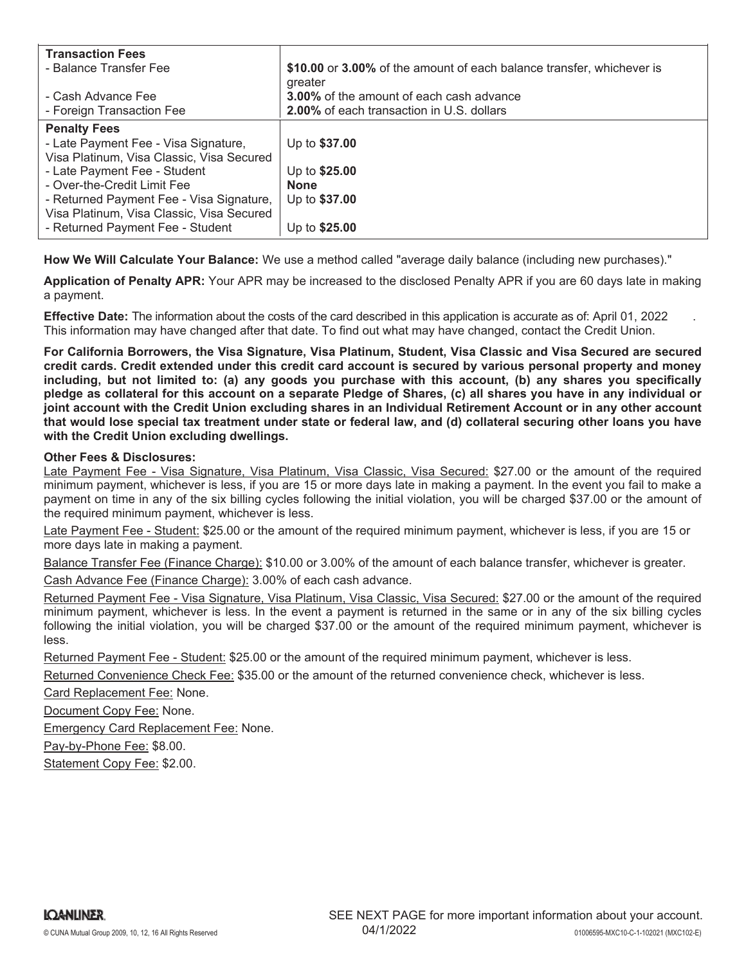| <b>Transaction Fees</b>                   |                                                                                  |
|-------------------------------------------|----------------------------------------------------------------------------------|
| - Balance Transfer Fee                    | \$10.00 or 3.00% of the amount of each balance transfer, whichever is<br>greater |
| - Cash Advance Fee                        | 3.00% of the amount of each cash advance                                         |
| - Foreign Transaction Fee                 | <b>2.00%</b> of each transaction in U.S. dollars                                 |
| <b>Penalty Fees</b>                       |                                                                                  |
| - Late Payment Fee - Visa Signature,      | Up to \$37.00                                                                    |
| Visa Platinum, Visa Classic, Visa Secured |                                                                                  |
| - Late Payment Fee - Student              | Up to \$25.00                                                                    |
| - Over-the-Credit Limit Fee               | <b>None</b>                                                                      |
| - Returned Payment Fee - Visa Signature,  | Up to \$37.00                                                                    |
| Visa Platinum, Visa Classic, Visa Secured |                                                                                  |
| - Returned Payment Fee - Student          | Up to \$25.00                                                                    |

**How We Will Calculate Your Balance:** We use a method called "average daily balance (including new purchases)."

**Application of Penalty APR:** Your APR may be increased to the disclosed Penalty APR if you are 60 days late in making a payment.

**Effective Date:** The information about the costs of the card described in this application is accurate as of: April 01, 2022 ... This information may have changed after that date. To find out what may have changed, contact the Credit Union.

**For California Borrowers, the Visa Signature, Visa Platinum, Student, Visa Classic and Visa Secured are secured credit cards. Credit extended under this credit card account is secured by various personal property and money including, but not limited to: (a) any goods you purchase with this account, (b) any shares you specifically pledge as collateral for this account on a separate Pledge of Shares, (c) all shares you have in any individual or joint account with the Credit Union excluding shares in an Individual Retirement Account or in any other account that would lose special tax treatment under state or federal law, and (d) collateral securing other loans you have with the Credit Union excluding dwellings.**

## **Other Fees & Disclosures:**

Late Payment Fee - Visa Signature, Visa Platinum, Visa Classic, Visa Secured: \$27.00 or the amount of the required minimum payment, whichever is less, if you are 15 or more days late in making a payment. In the event you fail to make a payment on time in any of the six billing cycles following the initial violation, you will be charged \$37.00 or the amount of the required minimum payment, whichever is less.

Late Payment Fee - Student: \$25.00 or the amount of the required minimum payment, whichever is less, if you are 15 or more days late in making a payment.

Balance Transfer Fee (Finance Charge): \$10.00 or 3.00% of the amount of each balance transfer, whichever is greater.

Cash Advance Fee (Finance Charge): 3.00% of each cash advance.

Returned Payment Fee - Visa Signature, Visa Platinum, Visa Classic, Visa Secured: \$27.00 or the amount of the required minimum payment, whichever is less. In the event a payment is returned in the same or in any of the six billing cycles following the initial violation, you will be charged \$37.00 or the amount of the required minimum payment, whichever is less.

Returned Payment Fee - Student: \$25.00 or the amount of the required minimum payment, whichever is less.

Returned Convenience Check Fee: \$35.00 or the amount of the returned convenience check, whichever is less.

Card Replacement Fee: None.

Document Copy Fee: None.

Emergency Card Replacement Fee: None.

Pay-by-Phone Fee: \$8.00.

Statement Copy Fee: \$2.00.